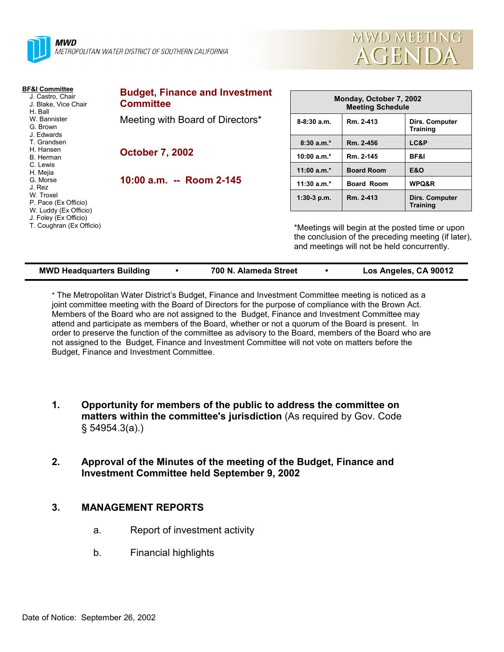



| <b>BF&amp;I Committee</b><br>J. Castro, Chair<br>J. Blake, Vice Chair<br>H. Ball<br>W. Bannister<br>G. Brown<br>J. Edwards<br>T. Grandsen<br>H. Hansen<br>B. Herman<br>C. Lewis<br>H. Mejia<br>G. Morse<br>J. Rez<br>W. Troxel<br>P. Pace (Ex Officio)<br>W. Luddy (Ex Officio)<br>J. Foley (Ex Officio)<br>T. Coughran (Ex Officio) | <b>Budget, Finance and Investment</b><br><b>Committee</b>  |                                                                                                                                                       | Monday, October 7, 2002<br><b>Meeting Schedule</b> |                                   |  |  |
|--------------------------------------------------------------------------------------------------------------------------------------------------------------------------------------------------------------------------------------------------------------------------------------------------------------------------------------|------------------------------------------------------------|-------------------------------------------------------------------------------------------------------------------------------------------------------|----------------------------------------------------|-----------------------------------|--|--|
|                                                                                                                                                                                                                                                                                                                                      | Meeting with Board of Directors*<br><b>October 7, 2002</b> | $8-8:30a.m.$                                                                                                                                          | Rm. 2-413                                          | Dirs. Computer<br><b>Training</b> |  |  |
|                                                                                                                                                                                                                                                                                                                                      |                                                            | $8:30a.m.*$                                                                                                                                           | Rm. 2-456                                          | LC&P                              |  |  |
|                                                                                                                                                                                                                                                                                                                                      |                                                            | 10:00 $a.m.*$                                                                                                                                         | Rm. 2-145                                          | <b>BF&amp;I</b>                   |  |  |
|                                                                                                                                                                                                                                                                                                                                      |                                                            | 11:00 $a.m.*$                                                                                                                                         | <b>Board Room</b>                                  | <b>E&amp;O</b>                    |  |  |
|                                                                                                                                                                                                                                                                                                                                      | 10:00 a.m. -- Room 2-145                                   | 11:30 $a.m.*$                                                                                                                                         | <b>Board Room</b>                                  | WPQ&R                             |  |  |
|                                                                                                                                                                                                                                                                                                                                      |                                                            | $1:30-3$ p.m.                                                                                                                                         | Rm. 2-413                                          | Dirs. Computer<br><b>Training</b> |  |  |
|                                                                                                                                                                                                                                                                                                                                      |                                                            | *Meetings will begin at the posted time or upon<br>the conclusion of the preceding meeting (if later),<br>and meetings will not be held concurrently. |                                                    |                                   |  |  |

| <b>MWD Headquarters Building</b> |  | 700 N. Alameda Street |  | Los Angeles, CA 90012 |
|----------------------------------|--|-----------------------|--|-----------------------|
|----------------------------------|--|-----------------------|--|-----------------------|

\* The Metropolitan Water Districtís Budget, Finance and Investment Committee meeting is noticed as a joint committee meeting with the Board of Directors for the purpose of compliance with the Brown Act. Members of the Board who are not assigned to the Budget, Finance and Investment Committee may attend and participate as members of the Board, whether or not a quorum of the Board is present. In order to preserve the function of the committee as advisory to the Board, members of the Board who are not assigned to the Budget, Finance and Investment Committee will not vote on matters before the Budget, Finance and Investment Committee.

- **1. Opportunity for members of the public to address the committee on matters within the committee's jurisdiction** (As required by Gov. Code ß 54954.3(a).)
- **2. Approval of the Minutes of the meeting of the Budget, Finance and Investment Committee held September 9, 2002**

## **3. MANAGEMENT REPORTS**

- a. Report of investment activity
- b. Financial highlights